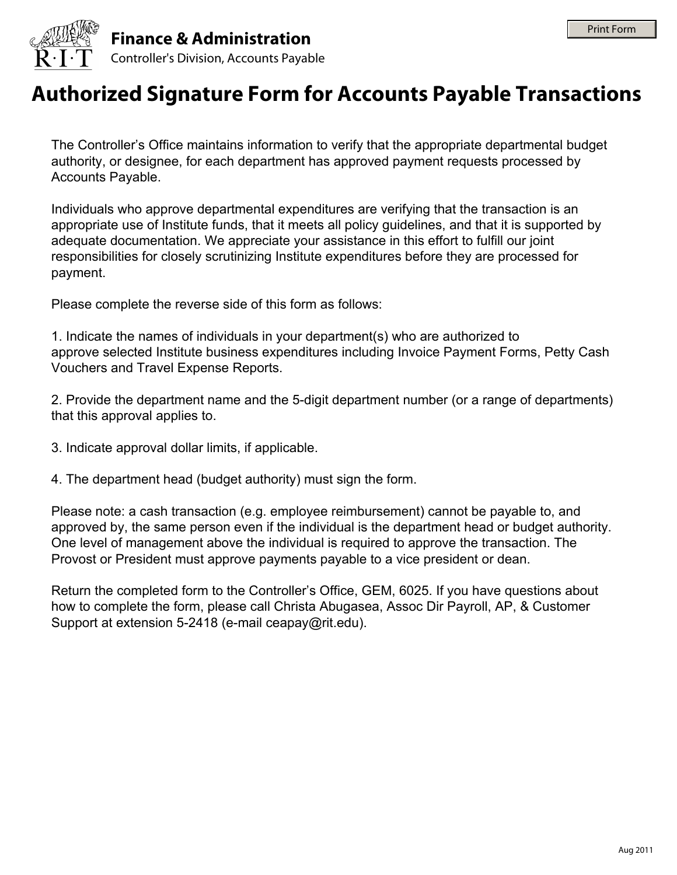



## **Authorized Signature Form for Accounts Payable Transactions**

The Controller's Office maintains information to verify that the appropriate departmental budget authority, or designee, for each department has approved payment requests processed by Accounts Payable.

Individuals who approve departmental expenditures are verifying that the transaction is an appropriate use of Institute funds, that it meets all policy guidelines, and that it is supported by adequate documentation. We appreciate your assistance in this effort to fulfill our joint responsibilities for closely scrutinizing Institute expenditures before they are processed for payment.

Please complete the reverse side of this form as follows:

1. Indicate the names of individuals in your department(s) who are authorized to approve selected Institute business expenditures including Invoice Payment Forms, Petty Cash Vouchers and Travel Expense Reports.

2. Provide the department name and the 5-digit department number (or a range of departments) that this approval applies to.

- 3. Indicate approval dollar limits, if applicable.
- 4. The department head (budget authority) must sign the form.

Please note: a cash transaction (e.g. employee reimbursement) cannot be payable to, and approved by, the same person even if the individual is the department head or budget authority. One level of management above the individual is required to approve the transaction. The Provost or President must approve payments payable to a vice president or dean.

Return the completed form to the Controller's Office, GEM, 6025. If you have questions about how to complete the form, please call Christa Abugasea, Assoc Dir Payroll, AP, & Customer Support at extension 5-2418 (e-mail ceapay@rit.edu).